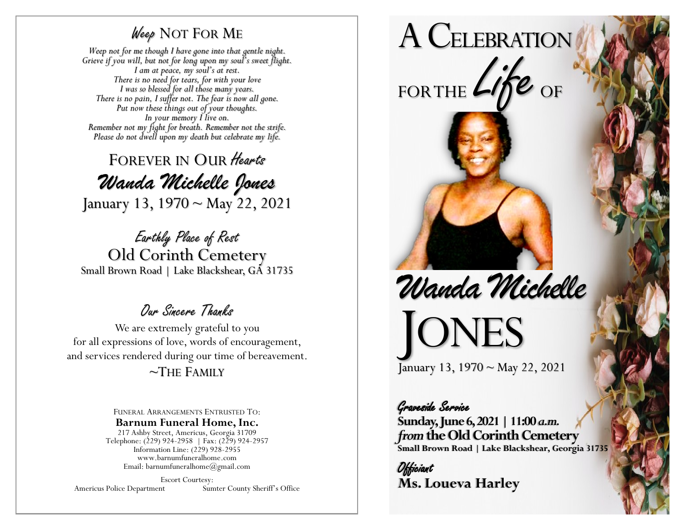## Weep NOT FOR ME

*Weep not for me though I have gone into that gentle night. Grieve if you will, but not for long upon my soul's sweet flight. I am at peace, my soul's at rest. There is no need for tears, for with your love I was so blessed for all those many years. There is no pain, I suffer not. The fear is now all gone. Put now these things out of your thoughts. In your memory I live on. Remember not my fight for breath. Remember not the strife. Please do not dwell upon my death but celebrate my life.*

FOREVER IN OUR Hearts *Wanda Michelle Jones* January 13, 1970 ~ May 22, 2021

Earthly Place of Rest Old Corinth Cemetery Small Brown Road | Lake Blackshear, GA 31735

## Our Sincere Thanks

We are extremely grateful to you for all expressions of love, words of encouragement, and services rendered during our time of bereavement.

## $\sim$ The Family

FUNERAL ARRANGEMENTS ENTRUSTED TO: **Barnum Funeral Home, Inc.** 217 Ashby Street, Americus, Georgia 31709

Telephone: (229) 924-2958 | Fax: (229) 924-2957 Information Line: (229) 928-2955 www.barnumfuneralhome.com Email: barnumfuneralhome@gmail.com

Escort Courtesy:<br>Americus Police Department Sun

Sumter County Sheriff's Office



Graveside Service **Sunday, June 6, 2021 | 11:00** *a.m. from* **the Old Corinth Cemetery Small Brown Road | Lake Blackshear, Georgia 31735**

**Officiant Ms. Loueva Harley**